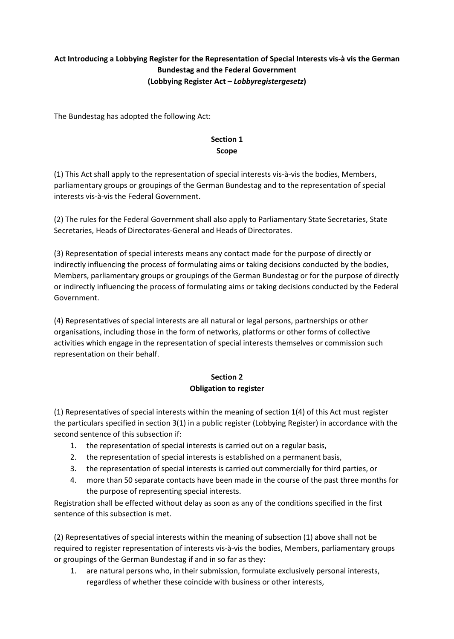# **Act Introducing a Lobbying Register for the Representation of Special Interests vis-à vis the German Bundestag and the Federal Government (Lobbying Register Act –** *Lobbyregistergesetz***)**

The Bundestag has adopted the following Act:

#### **Section 1 Scope**

(1) This Act shall apply to the representation of special interests vis-à-vis the bodies, Members, parliamentary groups or groupings of the German Bundestag and to the representation of special interests vis-à-vis the Federal Government.

(2) The rules for the Federal Government shall also apply to Parliamentary State Secretaries, State Secretaries, Heads of Directorates-General and Heads of Directorates.

(3) Representation of special interests means any contact made for the purpose of directly or indirectly influencing the process of formulating aims or taking decisions conducted by the bodies, Members, parliamentary groups or groupings of the German Bundestag or for the purpose of directly or indirectly influencing the process of formulating aims or taking decisions conducted by the Federal Government.

(4) Representatives of special interests are all natural or legal persons, partnerships or other organisations, including those in the form of networks, platforms or other forms of collective activities which engage in the representation of special interests themselves or commission such representation on their behalf.

# **Section 2**

# **Obligation to register**

(1) Representatives of special interests within the meaning of section 1(4) of this Act must register the particulars specified in section 3(1) in a public register (Lobbying Register) in accordance with the second sentence of this subsection if:

- 1. the representation of special interests is carried out on a regular basis,
- 2. the representation of special interests is established on a permanent basis,
- 3. the representation of special interests is carried out commercially for third parties, or
- 4. more than 50 separate contacts have been made in the course of the past three months for the purpose of representing special interests.

Registration shall be effected without delay as soon as any of the conditions specified in the first sentence of this subsection is met.

(2) Representatives of special interests within the meaning of subsection (1) above shall not be required to register representation of interests vis-à-vis the bodies, Members, parliamentary groups or groupings of the German Bundestag if and in so far as they:

1. are natural persons who, in their submission, formulate exclusively personal interests, regardless of whether these coincide with business or other interests,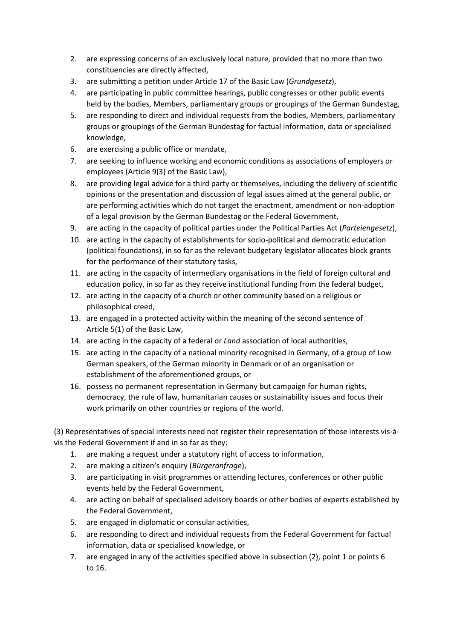- 2. are expressing concerns of an exclusively local nature, provided that no more than two constituencies are directly affected,
- 3. are submitting a petition under Article 17 of the Basic Law (*Grundgesetz*),
- 4. are participating in public committee hearings, public congresses or other public events held by the bodies, Members, parliamentary groups or groupings of the German Bundestag,
- 5. are responding to direct and individual requests from the bodies, Members, parliamentary groups or groupings of the German Bundestag for factual information, data or specialised knowledge,
- 6. are exercising a public office or mandate,
- 7. are seeking to influence working and economic conditions as associations of employers or employees (Article 9(3) of the Basic Law),
- 8. are providing legal advice for a third party or themselves, including the delivery of scientific opinions or the presentation and discussion of legal issues aimed at the general public, or are performing activities which do not target the enactment, amendment or non-adoption of a legal provision by the German Bundestag or the Federal Government,
- 9. are acting in the capacity of political parties under the Political Parties Act (*Parteiengesetz*),
- 10. are acting in the capacity of establishments for socio-political and democratic education (political foundations), in so far as the relevant budgetary legislator allocates block grants for the performance of their statutory tasks,
- 11. are acting in the capacity of intermediary organisations in the field of foreign cultural and education policy, in so far as they receive institutional funding from the federal budget,
- 12. are acting in the capacity of a church or other community based on a religious or philosophical creed,
- 13. are engaged in a protected activity within the meaning of the second sentence of Article 5(1) of the Basic Law,
- 14. are acting in the capacity of a federal or *Land* association of local authorities,
- 15. are acting in the capacity of a national minority recognised in Germany, of a group of Low German speakers, of the German minority in Denmark or of an organisation or establishment of the aforementioned groups, or
- 16. possess no permanent representation in Germany but campaign for human rights, democracy, the rule of law, humanitarian causes or sustainability issues and focus their work primarily on other countries or regions of the world.

(3) Representatives of special interests need not register their representation of those interests vis-àvis the Federal Government if and in so far as they:

- 1. are making a request under a statutory right of access to information,
- 2. are making a citizen's enquiry (*Bürgeranfrage*),
- 3. are participating in visit programmes or attending lectures, conferences or other public events held by the Federal Government,
- 4. are acting on behalf of specialised advisory boards or other bodies of experts established by the Federal Government,
- 5. are engaged in diplomatic or consular activities,
- 6. are responding to direct and individual requests from the Federal Government for factual information, data or specialised knowledge, or
- 7. are engaged in any of the activities specified above in subsection (2), point 1 or points 6 to 16.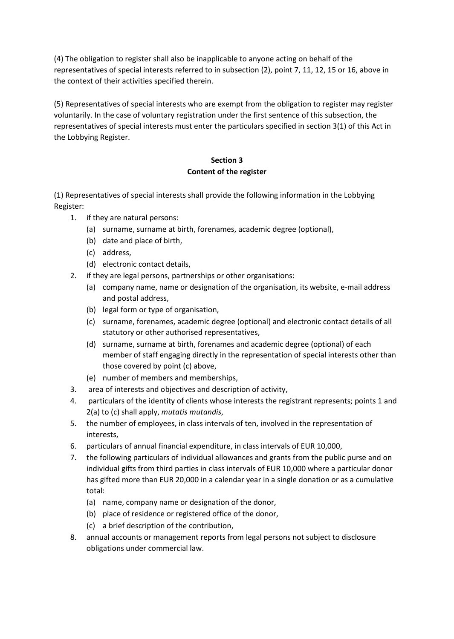(4) The obligation to register shall also be inapplicable to anyone acting on behalf of the representatives of special interests referred to in subsection (2), point 7, 11, 12, 15 or 16, above in the context of their activities specified therein.

(5) Representatives of special interests who are exempt from the obligation to register may register voluntarily. In the case of voluntary registration under the first sentence of this subsection, the representatives of special interests must enter the particulars specified in section 3(1) of this Act in the Lobbying Register.

# **Section 3 Content of the register**

(1) Representatives of special interests shall provide the following information in the Lobbying Register:

- 1. if they are natural persons:
	- (a) surname, surname at birth, forenames, academic degree (optional),
	- (b) date and place of birth,
	- (c) address,
	- (d) electronic contact details,
- 2. if they are legal persons, partnerships or other organisations:
	- (a) company name, name or designation of the organisation, its website, e-mail address and postal address,
	- (b) legal form or type of organisation,
	- (c) surname, forenames, academic degree (optional) and electronic contact details of all statutory or other authorised representatives,
	- (d) surname, surname at birth, forenames and academic degree (optional) of each member of staff engaging directly in the representation of special interests other than those covered by point (c) above,
	- (e) number of members and memberships,
- 3. area of interests and objectives and description of activity,
- 4. particulars of the identity of clients whose interests the registrant represents; points 1 and 2(a) to (c) shall apply, *mutatis mutandis*,
- 5. the number of employees, in class intervals of ten, involved in the representation of interests,
- 6. particulars of annual financial expenditure, in class intervals of EUR 10,000,
- 7. the following particulars of individual allowances and grants from the public purse and on individual gifts from third parties in class intervals of EUR 10,000 where a particular donor has gifted more than EUR 20,000 in a calendar year in a single donation or as a cumulative total:
	- (a) name, company name or designation of the donor,
	- (b) place of residence or registered office of the donor,
	- (c) a brief description of the contribution,
- 8. annual accounts or management reports from legal persons not subject to disclosure obligations under commercial law.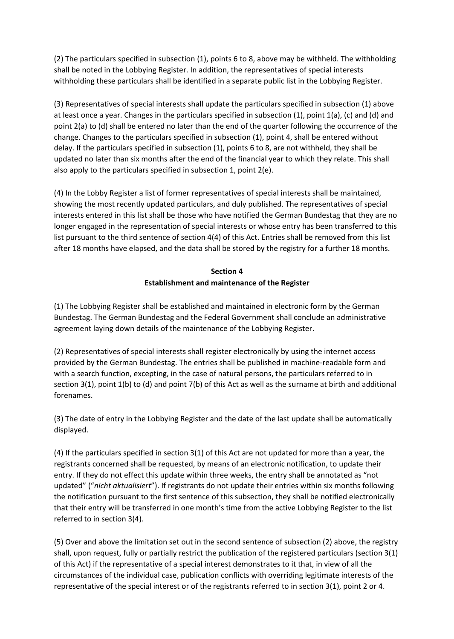(2) The particulars specified in subsection (1), points 6 to 8, above may be withheld. The withholding shall be noted in the Lobbying Register. In addition, the representatives of special interests withholding these particulars shall be identified in a separate public list in the Lobbying Register.

(3) Representatives of special interests shall update the particulars specified in subsection (1) above at least once a year. Changes in the particulars specified in subsection (1), point 1(a), (c) and (d) and point 2(a) to (d) shall be entered no later than the end of the quarter following the occurrence of the change. Changes to the particulars specified in subsection (1), point 4, shall be entered without delay. If the particulars specified in subsection (1), points 6 to 8, are not withheld, they shall be updated no later than six months after the end of the financial year to which they relate. This shall also apply to the particulars specified in subsection 1, point 2(e).

(4) In the Lobby Register a list of former representatives of special interests shall be maintained, showing the most recently updated particulars, and duly published. The representatives of special interests entered in this list shall be those who have notified the German Bundestag that they are no longer engaged in the representation of special interests or whose entry has been transferred to this list pursuant to the third sentence of section 4(4) of this Act. Entries shall be removed from this list after 18 months have elapsed, and the data shall be stored by the registry for a further 18 months.

## **Section 4 Establishment and maintenance of the Register**

(1) The Lobbying Register shall be established and maintained in electronic form by the German Bundestag. The German Bundestag and the Federal Government shall conclude an administrative agreement laying down details of the maintenance of the Lobbying Register.

(2) Representatives of special interests shall register electronically by using the internet access provided by the German Bundestag. The entries shall be published in machine-readable form and with a search function, excepting, in the case of natural persons, the particulars referred to in section 3(1), point 1(b) to (d) and point 7(b) of this Act as well as the surname at birth and additional forenames.

(3) The date of entry in the Lobbying Register and the date of the last update shall be automatically displayed.

(4) If the particulars specified in section 3(1) of this Act are not updated for more than a year, the registrants concerned shall be requested, by means of an electronic notification, to update their entry. If they do not effect this update within three weeks, the entry shall be annotated as "not updated" ("*nicht aktualisiert*"). If registrants do not update their entries within six months following the notification pursuant to the first sentence of this subsection, they shall be notified electronically that their entry will be transferred in one month's time from the active Lobbying Register to the list referred to in section 3(4).

(5) Over and above the limitation set out in the second sentence of subsection (2) above, the registry shall, upon request, fully or partially restrict the publication of the registered particulars (section 3(1) of this Act) if the representative of a special interest demonstrates to it that, in view of all the circumstances of the individual case, publication conflicts with overriding legitimate interests of the representative of the special interest or of the registrants referred to in section 3(1), point 2 or 4.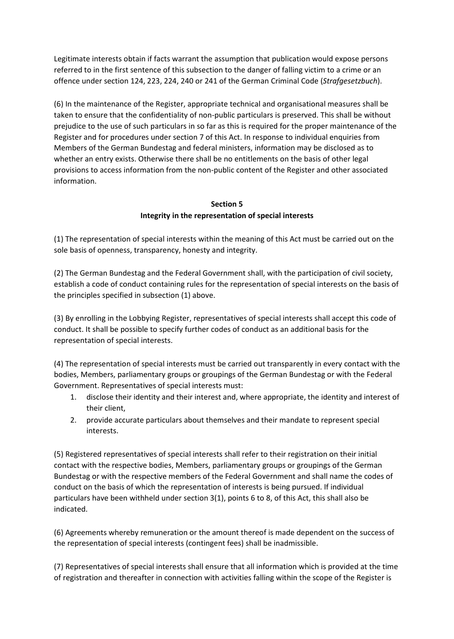Legitimate interests obtain if facts warrant the assumption that publication would expose persons referred to in the first sentence of this subsection to the danger of falling victim to a crime or an offence under section 124, 223, 224, 240 or 241 of the German Criminal Code (*Strafgesetzbuch*).

(6) In the maintenance of the Register, appropriate technical and organisational measures shall be taken to ensure that the confidentiality of non-public particulars is preserved. This shall be without prejudice to the use of such particulars in so far as this is required for the proper maintenance of the Register and for procedures under section 7 of this Act. In response to individual enquiries from Members of the German Bundestag and federal ministers, information may be disclosed as to whether an entry exists. Otherwise there shall be no entitlements on the basis of other legal provisions to access information from the non-public content of the Register and other associated information.

## **Section 5 Integrity in the representation of special interests**

(1) The representation of special interests within the meaning of this Act must be carried out on the sole basis of openness, transparency, honesty and integrity.

(2) The German Bundestag and the Federal Government shall, with the participation of civil society, establish a code of conduct containing rules for the representation of special interests on the basis of the principles specified in subsection (1) above.

(3) By enrolling in the Lobbying Register, representatives of special interests shall accept this code of conduct. It shall be possible to specify further codes of conduct as an additional basis for the representation of special interests.

(4) The representation of special interests must be carried out transparently in every contact with the bodies, Members, parliamentary groups or groupings of the German Bundestag or with the Federal Government. Representatives of special interests must:

- 1. disclose their identity and their interest and, where appropriate, the identity and interest of their client,
- 2. provide accurate particulars about themselves and their mandate to represent special interests.

(5) Registered representatives of special interests shall refer to their registration on their initial contact with the respective bodies, Members, parliamentary groups or groupings of the German Bundestag or with the respective members of the Federal Government and shall name the codes of conduct on the basis of which the representation of interests is being pursued. If individual particulars have been withheld under section 3(1), points 6 to 8, of this Act, this shall also be indicated.

(6) Agreements whereby remuneration or the amount thereof is made dependent on the success of the representation of special interests (contingent fees) shall be inadmissible.

(7) Representatives of special interests shall ensure that all information which is provided at the time of registration and thereafter in connection with activities falling within the scope of the Register is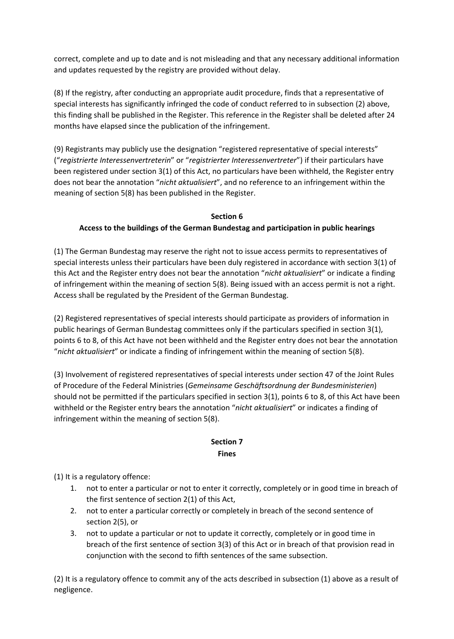correct, complete and up to date and is not misleading and that any necessary additional information and updates requested by the registry are provided without delay.

(8) If the registry, after conducting an appropriate audit procedure, finds that a representative of special interests has significantly infringed the code of conduct referred to in subsection (2) above, this finding shall be published in the Register. This reference in the Register shall be deleted after 24 months have elapsed since the publication of the infringement.

(9) Registrants may publicly use the designation "registered representative of special interests" ("*registrierte Interessenvertreterin*" or "*registrierter Interessenvertreter*") if their particulars have been registered under section 3(1) of this Act, no particulars have been withheld, the Register entry does not bear the annotation "*nicht aktualisiert*", and no reference to an infringement within the meaning of section 5(8) has been published in the Register.

#### **Section 6**

#### **Access to the buildings of the German Bundestag and participation in public hearings**

(1) The German Bundestag may reserve the right not to issue access permits to representatives of special interests unless their particulars have been duly registered in accordance with section 3(1) of this Act and the Register entry does not bear the annotation "*nicht aktualisiert*" or indicate a finding of infringement within the meaning of section 5(8). Being issued with an access permit is not a right. Access shall be regulated by the President of the German Bundestag.

(2) Registered representatives of special interests should participate as providers of information in public hearings of German Bundestag committees only if the particulars specified in section 3(1), points 6 to 8, of this Act have not been withheld and the Register entry does not bear the annotation "*nicht aktualisiert*" or indicate a finding of infringement within the meaning of section 5(8).

(3) Involvement of registered representatives of special interests under section 47 of the Joint Rules of Procedure of the Federal Ministries (*Gemeinsame Geschäftsordnung der Bundesministerien*) should not be permitted if the particulars specified in section 3(1), points 6 to 8, of this Act have been withheld or the Register entry bears the annotation "*nicht aktualisiert*" or indicates a finding of infringement within the meaning of section 5(8).

#### **Section 7 Fines**

(1) It is a regulatory offence:

- 1. not to enter a particular or not to enter it correctly, completely or in good time in breach of the first sentence of section 2(1) of this Act,
- 2. not to enter a particular correctly or completely in breach of the second sentence of section 2(5), or
- 3. not to update a particular or not to update it correctly, completely or in good time in breach of the first sentence of section 3(3) of this Act or in breach of that provision read in conjunction with the second to fifth sentences of the same subsection.

(2) It is a regulatory offence to commit any of the acts described in subsection (1) above as a result of negligence.